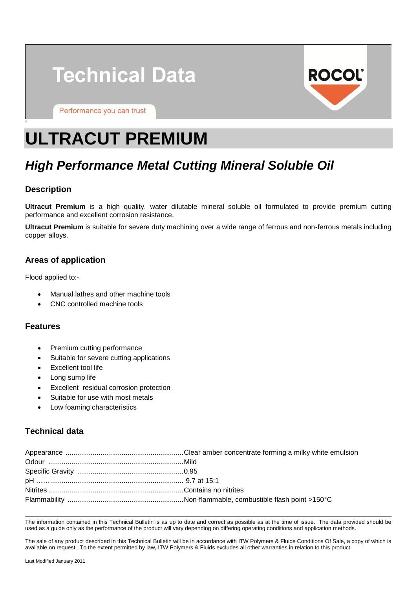



Performance you can trust

# **ULTRACUT PREMIUM**

# *High Performance Metal Cutting Mineral Soluble Oil*

# **Description**

'

**Ultracut Premium** is a high quality, water dilutable mineral soluble oil formulated to provide premium cutting performance and excellent corrosion resistance.

**Ultracut Premium** is suitable for severe duty machining over a wide range of ferrous and non-ferrous metals including copper alloys.

### **Areas of application**

Flood applied to:-

- Manual lathes and other machine tools
- CNC controlled machine tools

#### **Features**

- Premium cutting performance
- Suitable for severe cutting applications
- Excellent tool life
- Long sump life
- Excellent residual corrosion protection
- Suitable for use with most metals
- Low foaming characteristics

# **Technical data**

The information contained in this Technical Bulletin is as up to date and correct as possible as at the time of issue. The data provided should be used as a guide only as the performance of the product will vary depending on differing operating conditions and application methods.

The sale of any product described in this Technical Bulletin will be in accordance with ITW Polymers & Fluids Conditions Of Sale, a copy of which is available on request. To the extent permitted by law, ITW Polymers & Fluids excludes all other warranties in relation to this product.